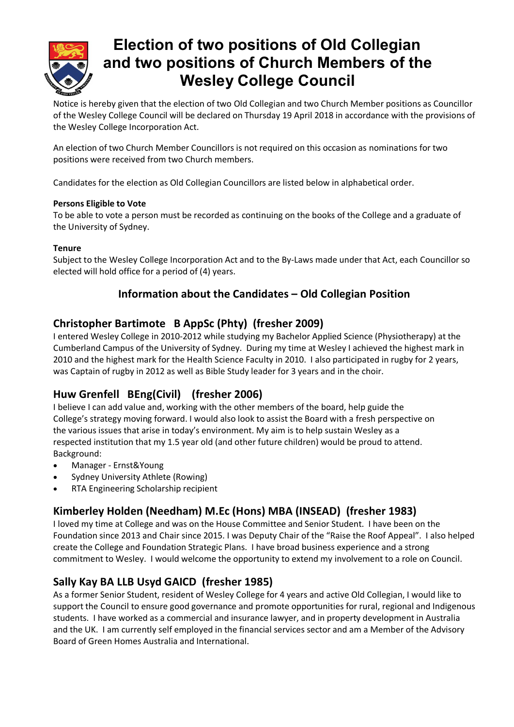

## **Election of two positions of Old Collegian and two positions of Church Members of the Wesley College Council**

Notice is hereby given that the election of two Old Collegian and two Church Member positions as Councillor of the Wesley College Council will be declared on Thursday 19 April 2018 in accordance with the provisions of the Wesley College Incorporation Act.

An election of two Church Member Councillors is not required on this occasion as nominations for two positions were received from two Church members.

Candidates for the election as Old Collegian Councillors are listed below in alphabetical order.

#### **Persons Eligible to Vote**

To be able to vote a person must be recorded as continuing on the books of the College and a graduate of the University of Sydney.

#### **Tenure**

Subject to the Wesley College Incorporation Act and to the By-Laws made under that Act, each Councillor so elected will hold office for a period of (4) years.

### **Information about the Candidates – Old Collegian Position**

### **Christopher Bartimote B AppSc (Phty) (fresher 2009)**

I entered Wesley College in 2010-2012 while studying my Bachelor Applied Science (Physiotherapy) at the Cumberland Campus of the University of Sydney. During my time at Wesley I achieved the highest mark in 2010 and the highest mark for the Health Science Faculty in 2010. I also participated in rugby for 2 years, was Captain of rugby in 2012 as well as Bible Study leader for 3 years and in the choir.

### **Huw Grenfell BEng(Civil) (fresher 2006)**

I believe I can add value and, working with the other members of the board, help guide the College's strategy moving forward. I would also look to assist the Board with a fresh perspective on the various issues that arise in today's environment. My aim is to help sustain Wesley as a respected institution that my 1.5 year old (and other future children) would be proud to attend. Background:

- · Manager Ernst&Young
- Sydney University Athlete (Rowing)
- · RTA Engineering Scholarship recipient

### **Kimberley Holden (Needham) M.Ec (Hons) MBA (INSEAD) (fresher 1983)**

I loved my time at College and was on the House Committee and Senior Student. I have been on the Foundation since 2013 and Chair since 2015. I was Deputy Chair of the "Raise the Roof Appeal". I also helped create the College and Foundation Strategic Plans. I have broad business experience and a strong commitment to Wesley. I would welcome the opportunity to extend my involvement to a role on Council.

### **Sally Kay BA LLB Usyd GAICD (fresher 1985)**

As a former Senior Student, resident of Wesley College for 4 years and active Old Collegian, I would like to support the Council to ensure good governance and promote opportunities for rural, regional and Indigenous students. I have worked as a commercial and insurance lawyer, and in property development in Australia and the UK. I am currently self employed in the financial services sector and am a Member of the Advisory Board of Green Homes Australia and International.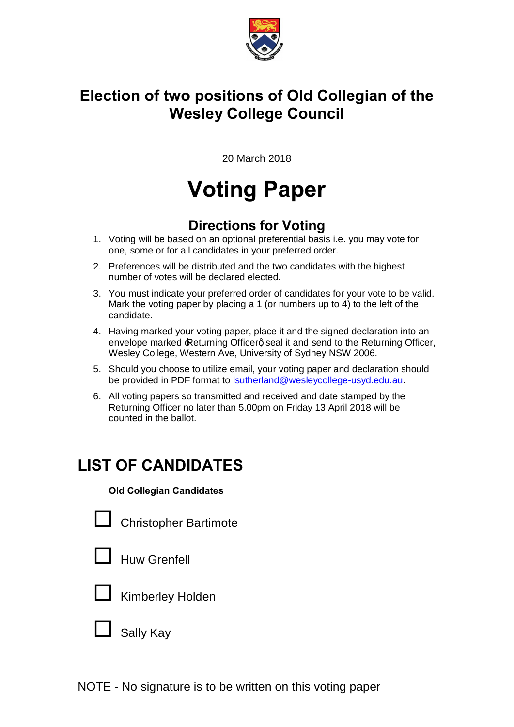

## **Election of two positions of Old Collegian of the Wesley College Council**

20 March 2018

# **Voting Paper**

### **Directions for Voting**

- 1. Voting will be based on an optional preferential basis i.e. you may vote for one, some or for all candidates in your preferred order.
- 2. Preferences will be distributed and the two candidates with the highest number of votes will be declared elected.
- 3. You must indicate your preferred order of candidates for your vote to be valid. Mark the voting paper by placing a 1 (or numbers up to 4) to the left of the candidate.
- 4. Having marked your voting paper, place it and the signed declaration into an envelope marked Returning Officerg seal it and send to the Returning Officer, Wesley College, Western Ave, University of Sydney NSW 2006.
- 5. Should you choose to utilize email, your voting paper and declaration should be provided in PDF format to lsutherland@wesleycollege-usyd.edu.au.
- 6. All voting papers so transmitted and received and date stamped by the Returning Officer no later than 5.00pm on Friday 13 April 2018 will be counted in the ballot.

# **LIST OF CANDIDATES**

#### **Old Collegian Candidates**

 $\Box$  Christopher Bartimote



Sally Kay

NOTE - No signature is to be written on this voting paper